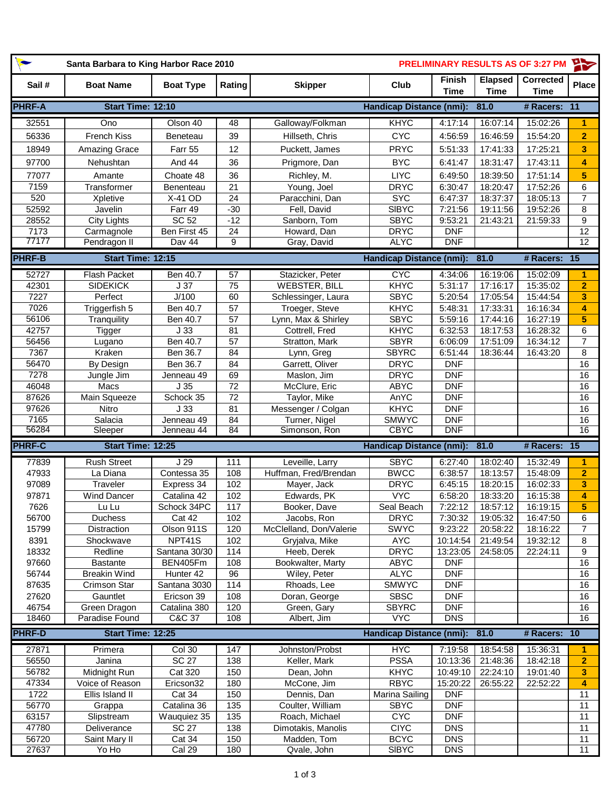| $\bullet$      | <b>PRELIMINARY RESULTS AS OF 3:27 PM</b><br>Santa Barbara to King Harbor Race 2010 |                         |                       |                                       |                                 |                              |                               | $\rightarrow$                   |                       |
|----------------|------------------------------------------------------------------------------------|-------------------------|-----------------------|---------------------------------------|---------------------------------|------------------------------|-------------------------------|---------------------------------|-----------------------|
| Sail#          | <b>Boat Name</b>                                                                   | <b>Boat Type</b>        | Rating                | <b>Skipper</b>                        | Club                            | <b>Finish</b><br><b>Time</b> | <b>Elapsed</b><br><b>Time</b> | <b>Corrected</b><br><b>Time</b> | <b>Place</b>          |
| <b>PHRF-A</b>  | Start Time: 12:10                                                                  |                         |                       |                                       | <b>Handicap Distance (nmi):</b> |                              | 81.0                          | # Racers:                       | 11                    |
| 32551          | Ono                                                                                | Olson 40                | 48                    | Galloway/Folkman                      | KHYC                            | 4:17:14                      | 16:07:14                      | 15:02:26                        | 1                     |
| 56336          | <b>French Kiss</b>                                                                 | Beneteau                | 39                    | Hillseth, Chris                       | <b>CYC</b>                      | 4:56:59                      | 16:46:59                      | 15:54:20                        | $\overline{2}$        |
| 18949          | Amazing Grace                                                                      | Farr 55                 | 12                    | Puckett, James                        | <b>PRYC</b>                     | 5:51:33                      | 17:41:33                      | 17:25:21                        | 3                     |
| 97700          | Nehushtan                                                                          | And 44                  | 36                    | Prigmore, Dan                         | <b>BYC</b>                      | 6:41:47                      | 18:31:47                      | 17:43:11                        | 4                     |
| 77077          | Amante                                                                             | Choate 48               | 36                    | Richley, M.                           | <b>LIYC</b>                     | 6:49:50                      | 18:39:50                      | 17:51:14                        | 5                     |
| 7159           | Transformer                                                                        | Benenteau               | 21                    | Young, Joel                           | <b>DRYC</b>                     | 6:30:47                      | 18:20:47                      | 17:52:26                        | 6                     |
| 520            | Xpletive                                                                           | X-41 OD                 | $\overline{24}$       | Paracchini, Dan                       | <b>SYC</b>                      | 6:47:37                      | 18:37:37                      | 18:05:13                        | 7                     |
| 52592          | Javelin                                                                            | Farr 49                 | $-30$                 | Fell, David                           | <b>SIBYC</b>                    | 7:21:56                      | 19:11:56                      | 19:52:26                        | 8                     |
| 28552          | <b>City Lights</b>                                                                 | SC 52                   | $-12$                 | Sanborn, Tom                          | <b>SBYC</b>                     | 9:53:21                      | 21:43:21                      | 21:59:33                        | 9                     |
| 7173<br>77177  | Carmagnole<br>Pendragon II                                                         | Ben First 45<br>Dav 44  | 24<br>9               | Howard, Dan<br>Gray, David            | <b>DRYC</b><br><b>ALYC</b>      | <b>DNF</b><br><b>DNF</b>     |                               |                                 | 12<br>12              |
|                |                                                                                    |                         |                       |                                       |                                 |                              |                               |                                 |                       |
| <b>PHRF-B</b>  | Start Time: 12:15                                                                  |                         |                       |                                       | <b>Handicap Distance (nmi):</b> |                              | 81.0                          | # Racers:                       | $\overline{15}$       |
| 52727          | <b>Flash Packet</b>                                                                | Ben 40.7                | 57                    | Stazicker, Peter                      | <b>CYC</b>                      | 4:34:06                      | 16:19:06                      | 15:02:09                        | 1                     |
| 42301          | <b>SIDEKICK</b>                                                                    | J <sub>37</sub>         | $\overline{75}$       | <b>WEBSTER, BILL</b>                  | KHYC                            | 5:31:17                      | 17:16:17                      | 15:35:02                        | $\overline{2}$        |
| 7227<br>7026   | Perfect                                                                            | J/100                   | 60                    | Schlessinger, Laura                   | <b>SBYC</b>                     | 5:20:54                      | 17:05:54                      | 15:44:54                        | 3                     |
| 56106          | Triggerfish 5<br>Tranquility                                                       | Ben 40.7<br>Ben 40.7    | $\overline{57}$<br>57 | Troeger, Steve<br>Lynn, Max & Shirley | KHYC<br><b>SBYC</b>             | 5:48:31<br>5:59:16           | 17:33:31<br>17:44:16          | 16:16:34<br>16:27:19            | 4<br>5                |
| 42757          | <b>Tigger</b>                                                                      | J <sub>33</sub>         | 81                    | Cottrell, Fred                        | <b>KHYC</b>                     | 6:32:53                      | 18:17:53                      | 16:28:32                        | 6                     |
| 56456          | Lugano                                                                             | Ben 40.7                | 57                    | Stratton, Mark                        | <b>SBYR</b>                     | 6:06:09                      | 17:51:09                      | 16:34:12                        | 7                     |
| 7367           | Kraken                                                                             | Ben 36.7                | 84                    | Lynn, Greg                            | <b>SBYRC</b>                    | 6:51:44                      | 18:36:44                      | 16:43:20                        | 8                     |
| 56470          | By Design                                                                          | Ben 36.7                | 84                    | Garrett, Oliver                       | <b>DRYC</b>                     | <b>DNF</b>                   |                               |                                 | 16                    |
| 7278           | Jungle Jim                                                                         | Jenneau 49              | 69                    | Maslon, Jim                           | <b>DRYC</b>                     | <b>DNF</b>                   |                               |                                 | 16                    |
| 46048          | Macs                                                                               | J <sub>35</sub>         | $\overline{72}$       | McClure, Eric                         | <b>ABYC</b>                     | <b>DNF</b>                   |                               |                                 | 16                    |
| 87626          | Main Squeeze                                                                       | Schock 35               | 72                    | Taylor, Mike                          | AnYC                            | <b>DNF</b>                   |                               |                                 | 16                    |
| 97626          | Nitro                                                                              | J <sub>33</sub>         | 81                    | Messenger / Colgan                    | <b>KHYC</b>                     | <b>DNF</b>                   |                               |                                 | 16                    |
| 7165           | Salacia                                                                            | Jenneau 49              | 84                    | Turner, Nigel                         | <b>SMWYC</b>                    | <b>DNF</b>                   |                               |                                 | 16                    |
| 56284          | Sleeper                                                                            | Jenneau 44              | $\overline{84}$       | Simonson, Ron                         | <b>CBYC</b>                     | DNF                          |                               |                                 | 16                    |
| <b>PHRF-C</b>  | Start Time: 12:25                                                                  |                         |                       |                                       | <b>Handicap Distance (nmi):</b> |                              | 81.0                          | # Racers: 15                    |                       |
| 77839          | <b>Rush Street</b>                                                                 | J <sub>29</sub>         | 111                   | Leveille, Larry                       | <b>SBYC</b>                     | 6:27:40                      | 18:02:40                      | 15:32:49                        | 1                     |
| 47933          | La Diana                                                                           | Contessa 35             | 108                   | Huffman, Fred/Brendan                 | <b>BWCC</b>                     | 6:38:57                      | 18:13:57                      | 15:48:09                        | $\overline{2}$        |
| 97089          | Traveler                                                                           | Express 34              | 102                   | Mayer, Jack                           | <b>DRYC</b>                     | 6:45:15                      | 18:20:15                      | 16:02:33                        | 3                     |
| 97871          | <b>Wind Dancer</b>                                                                 | Catalina 42             | 102                   | Edwards, PK                           | <b>VYC</b>                      | 6:58:20                      | 18:33:20                      | 16:15:38                        | 4                     |
| 7626           | Lu Lu                                                                              | Schock 34PC             | 117                   | Booker, Dave                          | Seal Beach                      | 7:22:12                      | 18:57:12                      | 16:19:15                        | 5                     |
| 56700          | Duchess                                                                            | Cat 42                  | 102                   | Jacobs, Ron                           | <b>DRYC</b>                     | 7:30:32                      | 19:05:32                      | 16:47:50                        | 6                     |
| 15799          | <b>Distraction</b>                                                                 | Olson 911S              | 120                   | McClelland, Don/Valerie               | <b>SWYC</b>                     | 9:23:22                      | 20:58:22                      | 18:16:22                        | 7                     |
| 8391<br>18332  | Shockwave<br>Redline                                                               | NPT41S<br>Santana 30/30 | 102<br>114            | Gryjalva, Mike<br>Heeb, Derek         | <b>AYC</b><br><b>DRYC</b>       | 10:14:54<br>13:23:05         | 21:49:54<br>24:58:05          | 19:32:12<br>22:24:11            | 8<br>9                |
| 97660          | <b>Bastante</b>                                                                    | BEN405Fm                | 108                   | Bookwalter, Marty                     | <b>ABYC</b>                     | <b>DNF</b>                   |                               |                                 | 16                    |
| 56744          | <b>Breakin Wind</b>                                                                | Hunter 42               | 96                    | Wiley, Peter                          | <b>ALYC</b>                     | <b>DNF</b>                   |                               |                                 | 16                    |
| 87635          | Crimson Star                                                                       | Santana 3030            | 114                   | Rhoads, Lee                           | <b>SMWYC</b>                    | <b>DNF</b>                   |                               |                                 | 16                    |
| 27620          | Gauntlet                                                                           | Ericson 39              | 108                   | Doran, George                         | <b>SBSC</b>                     | <b>DNF</b>                   |                               |                                 | 16                    |
| 46754          | Green Dragon                                                                       | Catalina 380            | 120                   | Green, Gary                           | <b>SBYRC</b>                    | <b>DNF</b>                   |                               |                                 | 16                    |
| 18460          | Paradise Found                                                                     | C&C 37                  | 108                   | Albert, Jim                           | <b>VYC</b>                      | $\overline{DNS}$             |                               |                                 | 16                    |
| <b>PHRF-D</b>  | Start Time: 12:25                                                                  |                         |                       |                                       | <b>Handicap Distance (nmi):</b> |                              | 81.0                          | # Racers:                       | 10                    |
| 27871          | Primera                                                                            | Col 30                  | 147                   | Johnston/Probst                       | <b>H<sub>XC</sub></b>           | 7:19:58                      | 18:54:58                      | 15:36:31                        | 1                     |
| 56550          | Janina                                                                             | <b>SC 27</b>            | 138                   | Keller, Mark                          | <b>PSSA</b>                     | 10:13:36                     | 21:48:36                      | 18:42:18                        | $\overline{2}$        |
| 56782          | Midnight Run                                                                       | <b>Cat 320</b>          | 150                   | Dean, John                            | <b>KHYC</b>                     | 10:49:10                     | 22:24:10                      | 19:01:40                        | 3                     |
| 47334          | Voice of Reason                                                                    | Ericson32               | 180                   | McCone, Jim                           | <b>RBYC</b>                     | 15:20:22                     | 26:55:22                      | 22:52:22                        | 4                     |
| 1722           | Ellis Island II                                                                    | Cat 34                  | 150                   | Dennis, Dan                           | Marina Sailing                  | <b>DNF</b>                   |                               |                                 | 11                    |
| 56770          | Grappa                                                                             | Catalina 36             | 135                   | Coulter, William                      | <b>SBYC</b>                     | <b>DNF</b>                   |                               |                                 | 11                    |
| 63157          | Slipstream                                                                         | Wauquiez 35             | 135                   | Roach, Michael                        | <b>CYC</b>                      | <b>DNF</b>                   |                               |                                 | 11                    |
| 47780          | Deliverance                                                                        | <b>SC 27</b>            | 138                   | Dimotakis, Manolis                    | <b>CIYC</b>                     | <b>DNS</b>                   |                               |                                 | 11                    |
| 56720<br>27637 | Saint Mary II<br>Yo Ho                                                             | Cat 34<br>Cal 29        | 150<br>180            | Madden, Tom<br>Qvale, John            | <b>BCYC</b><br><b>SIBYC</b>     | <b>DNS</b><br><b>DNS</b>     |                               |                                 | 11<br>$\overline{11}$ |
|                |                                                                                    |                         |                       |                                       |                                 |                              |                               |                                 |                       |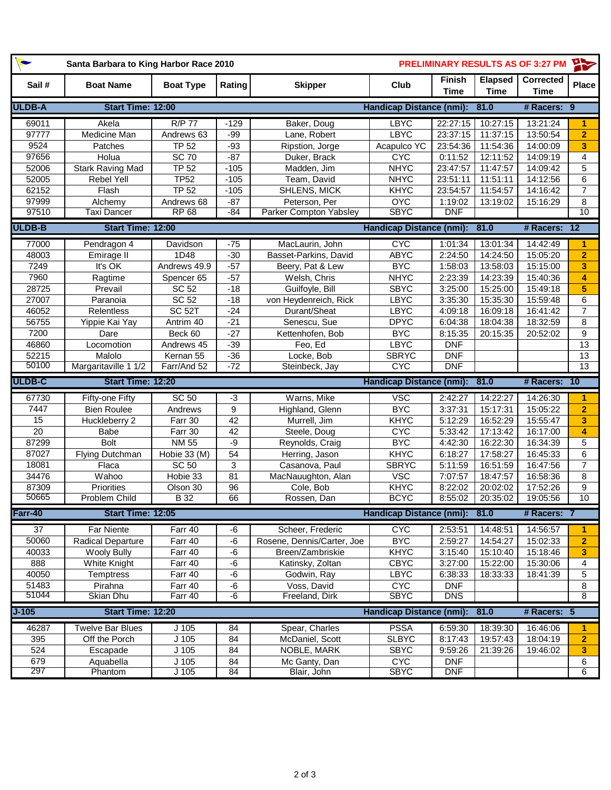| $\bullet$       | Santa Barbara to King Harbor Race 2010 |                    | <b>PRELIMINARY RESULTS AS OF 3:27 PM</b> |                              |                                 |                              | $\rightarrow$          |                                 |                 |
|-----------------|----------------------------------------|--------------------|------------------------------------------|------------------------------|---------------------------------|------------------------------|------------------------|---------------------------------|-----------------|
| Sail#           | <b>Boat Name</b>                       | <b>Boat Type</b>   | Rating                                   | <b>Skipper</b>               | Club                            | <b>Finish</b><br><b>Time</b> | Elapsed<br><b>Time</b> | <b>Corrected</b><br><b>Time</b> | <b>Place</b>    |
| <b>ULDB-A</b>   | Start Time: 12:00                      |                    |                                          |                              | <b>Handicap Distance (nmi):</b> |                              | 81.0                   | # Racers: 9                     |                 |
| 69011           | Akela                                  | <b>R/P 77</b>      | $-129$                                   | Baker, Doug                  | <b>LBYC</b>                     | $\overline{22:27:15}$        | 10:27:15               | 13:21:24                        | 1               |
| 97777           | Medicine Man                           | Andrews 63         | $-99$                                    | Lane, Robert                 | <b>LBYC</b>                     | 23:37:15                     | 11:37:15               | 13:50:54                        | $\overline{2}$  |
| 9524            | Patches                                | <b>TP 52</b>       | $-93$                                    | Ripstion, Jorge              | Acapulco YC                     | 23:54:36                     | 11:54:36               | 14:00:09                        | 3               |
| 97656           | Holua                                  | <b>SC 70</b>       | $-87$                                    | Duker, Brack                 | <b>CYC</b>                      | 0:11:52                      | 12:11:52               | 14:09:19                        | 4               |
| 52006           | <b>Stark Raving Mad</b>                | <b>TP 52</b>       | $-105$                                   | Madden, Jim                  | <b>NHYC</b>                     | 23:47:57                     | 11:47:57               | 14:09:42                        | 5               |
| 52005           | Rebel Yell                             | <b>TP52</b>        | $-105$                                   | Team, David                  | <b>NHYC</b>                     | 23:51:11                     | 11:51:11               | 14:12:56                        | 6               |
| 62152           | Flash                                  | <b>TP 52</b>       | $-105$                                   | SHLENS, MICK                 | <b>KHYC</b>                     | 23:54:57                     | 11:54:57               | 14:16:42                        | $\overline{7}$  |
| 97999           | Alchemy                                | Andrews 68         | $-87$                                    | Peterson, Per                | <b>OYC</b>                      | 1:19:02                      | 13:19:02               | 15:16:29                        | 8               |
| 97510           | <b>Taxi Dancer</b>                     | <b>RP 68</b>       | $-84$                                    | Parker Compton Yabsley       | <b>SBYC</b>                     | <b>DNF</b>                   |                        |                                 | 10 <sup>1</sup> |
| <b>ULDB-B</b>   | Start Time: 12:00                      |                    |                                          |                              | <b>Handicap Distance (nmi):</b> |                              | 81.0                   | # Racers:                       | $\overline{12}$ |
| 77000           | Pendragon 4                            | Davidson           | $-75$                                    | MacLaurin, John              | <b>CYC</b>                      | 1:01:34                      | 13:01:34               | 14:42:49                        | 1               |
| 48003           | Emirage II                             | 1D48               | $-30$                                    | Basset-Parkins, David        | <b>ABYC</b>                     | 2:24:50                      | 14:24:50               | 15:05:20                        | $\overline{2}$  |
| 7249            | It's OK                                | Andrews 49.9       | $-57$                                    | Beery, Pat & Lew             | <b>BYC</b>                      | 1:58:03                      | 13:58:03               | 15:15:00                        | 3               |
| 7960            | Ragtime                                | Spencer 65         | $-57$                                    | Welsh, Chris                 | <b>NHYC</b>                     | 2:23:39                      | 14:23:39               | 15:40:36                        | 4               |
| 28725           | Prevail                                | SC 52              | $-18$                                    | Guilfoyle, Bill              | <b>SBYC</b>                     | 3:25:00                      | 15:25:00               | 15:49:18                        | 5               |
| 27007           | Paranoia                               | <b>SC 52</b>       | $-18$                                    | von Heydenreich, Rick        | LBYC                            | 3:35:30                      | 15:35:30               | 15:59:48                        | 6               |
| 46052           | Relentless                             | SC <sub>52T</sub>  | $-24$                                    | Durant/Sheat                 | LBYC                            | 4:09:18                      | 16:09:18               | 16:41:42                        | $\overline{7}$  |
| 56755           | Yippie Kai Yay                         | Antrim 40          | $-21$                                    | Senescu, Sue                 | <b>DPYC</b>                     | 6:04:38                      | 18:04:38               | 18:32:59                        | 8               |
| 7200            | Dare                                   | Beck 60            | $-27$                                    | Kettenhofen, Bob             | <b>BYC</b>                      | 8:15:35                      | 20:15:35               | 20:52:02                        | 9               |
| 46860           | Locomotion                             | Andrews 45         | $-39$                                    | Feo, Ed                      | LBYC                            | <b>DNF</b>                   |                        |                                 | 13              |
| 52215           | Malolo                                 | Kernan 55          | $-36$                                    | Locke, Bob                   | <b>SBRYC</b>                    | <b>DNF</b>                   |                        |                                 | 13              |
| 50100           | Margaritaville 1 1/2                   | Farr/And 52        | $-72$                                    | Steinbeck, Jay               | <b>CYC</b>                      | <b>DNF</b>                   |                        |                                 | 13              |
|                 |                                        |                    |                                          |                              |                                 |                              |                        |                                 |                 |
| ULDB-C          | Start Time: 12:20                      |                    |                                          |                              | <b>Handicap Distance (nmi):</b> |                              | 81.0                   | # Racers: 10                    |                 |
| 67730           | Fifty-one Fifty                        | <b>SC 50</b>       | $-3$                                     | Warns, Mike                  | <b>VSC</b>                      | 2:42:27                      | 14:22:27               | 14:26:30                        | $\overline{1}$  |
| 7447            | <b>Bien Roulee</b>                     | Andrews            | 9                                        | Highland, Glenn              | <b>BYC</b>                      | 3:37:31                      | 15:17:31               | 15:05:22                        | $\overline{2}$  |
| 15              | Huckleberry 2                          | Farr 30            | 42                                       | Murrell, Jim                 | <b>KHYC</b>                     | 5:12:29                      | 16:52:29               | 15:55:47                        | 3               |
| 20              | Babe                                   | Farr 30            | 42                                       | Steele, Doug                 | <b>CYC</b>                      | 5:33:42                      | 17:13:42               | 16:17:00                        | 4               |
| 87299           | Bolt                                   | <b>NM 55</b>       | -9                                       | Reynolds, Craig              | <b>BYC</b>                      | 4:42:30                      | 16:22:30               | 16:34:39                        | 5               |
| 87027           | <b>Flying Dutchman</b>                 | Hobie 33 (M)       | 54                                       | Herring, Jason               | <b>KHYC</b>                     | 6:18:27                      | 17:58:27               | 16:45:33                        | 6               |
| 18081           | Flaca                                  | <b>SC 50</b>       | 3                                        | Casanova, Paul               | <b>SBRYC</b>                    | 5:11:59                      | 16:51:59               | 16:47:56                        | $\overline{7}$  |
| 34476           | Wahoo                                  | Hobie 33           | 81                                       | MacNauughton, Alan           | <b>VSC</b>                      | 7:07:57                      | 18:47:57               | 16:58:36                        | 8               |
| 87309           | <b>Priorities</b>                      | Olson 30           | 96                                       | Cole, Bob                    | <b>KHYC</b>                     | 8:22:02                      | 20:02:02               | 17:52:26                        | 9               |
| 50665           | Problem Child                          | B 32               | 66                                       | Rossen, Dan                  | <b>BCYC</b>                     | 8:55:02                      | 20:35:02               | 19:05:56                        | 10              |
| Farr-40         | Start Time: 12:05                      |                    |                                          |                              | Handicap Distance (nmi): 81.0   |                              |                        | # Racers: 7                     |                 |
| $\overline{37}$ | <b>Far Niente</b>                      | Farr 40            | -6                                       | Scheer, Frederic             | <b>CYC</b>                      | 2:53:51                      | 14:48:51               | 14:56:57                        | $\mathbf{1}$    |
| 50060           | <b>Radical Departure</b>               | Farr 40            | $-6$                                     | Rosene, Dennis/Carter, Joe   | <b>BYC</b>                      | 2:59:27                      | 14:54:27               | 15:02:33                        | $\overline{2}$  |
| 40033           | <b>Wooly Bully</b>                     | Farr 40            | $\textnormal{-}6$                        | Breen/Zambriskie             | <b>KHYC</b>                     | 3:15:40                      | 15:10:40               | 15:18:46                        | 3               |
| 888             | White Knight                           | Farr 40            | $-6$                                     | Katinsky, Zoltan             | <b>CBYC</b>                     | 3:27:00                      | 15:22:00               | 15:30:06                        | 4               |
| 40050           | Temptress                              | Farr 40            | $-6$                                     | Godwin, Ray                  | LBYC                            | 6:38:33                      | 18:33:33               | 18:41:39                        | 5               |
| 51483           | Pirahna                                | Farr 40            | $-6$                                     | Voss, David                  | <b>CYC</b>                      | <b>DNF</b>                   |                        |                                 | 8               |
| 51044           | Skian Dhu                              | Farr 40            | $-6$                                     | Freeland, Dirk               | <b>SBYC</b>                     | <b>DNS</b>                   |                        |                                 | 8               |
| $J-105$         | Start Time: 12:20                      |                    |                                          |                              | <b>Handicap Distance (nmi):</b> |                              | 81.0                   | # Racers: 5                     |                 |
|                 | <b>Twelve Bar Blues</b>                |                    |                                          | Spear, Charles               | <b>PSSA</b>                     |                              |                        |                                 | 1               |
| 46287           |                                        | $J$ 105            | 84                                       |                              |                                 | 6:59:30                      | 18:39:30               | 16:46:06                        | $\overline{2}$  |
| 395<br>524      | Off the Porch                          | $J$ 105            | 84                                       | McDaniel, Scott              | <b>SLBYC</b>                    | 8:17:43                      | 19:57:43               | 18:04:19                        | 3               |
| 679<br>297      | Escapade<br>Aquabella                  | $J$ 105<br>$J$ 105 | 84<br>84                                 | NOBLE, MARK<br>Mc Ganty, Dan | <b>SBYC</b><br><b>CYC</b>       | 9:59:26<br><b>DNF</b>        | 21:39:26               | 19:46:02                        | 6               |